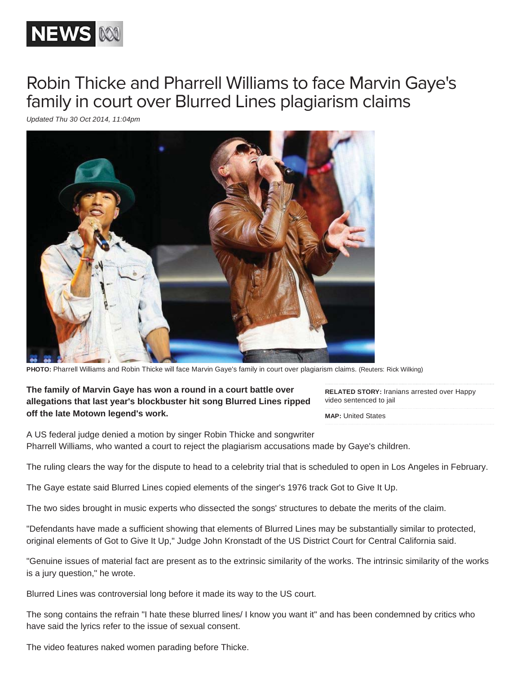

## Robin Thicke and Pharrell Williams to face Marvin Gaye's family in court over Blurred Lines plagiarism claims

*Updated Thu 30 Oct 2014, 11:04pm*



**PHOTO:** Pharrell Williams and Robin Thicke will face Marvin Gaye's family in court over plagiarism claims. (Reuters: Rick Wilking)

## **The family of Marvin Gaye has won a round in a court battle over allegations that last year's blockbuster hit song Blurred Lines ripped off the late Motown legend's work.**

**RELATED STORY:** Iranians arrested over Happy video sentenced to jail

**MAP:** United States

A US federal judge denied a motion by singer Robin Thicke and songwriter Pharrell Williams, who wanted a court to reject the plagiarism accusations made by Gaye's children.

The ruling clears the way for the dispute to head to a celebrity trial that is scheduled to open in Los Angeles in February.

The Gaye estate said Blurred Lines copied elements of the singer's 1976 track Got to Give It Up.

The two sides brought in music experts who dissected the songs' structures to debate the merits of the claim.

"Defendants have made a sufficient showing that elements of Blurred Lines may be substantially similar to protected, original elements of Got to Give It Up," Judge John Kronstadt of the US District Court for Central California said.

"Genuine issues of material fact are present as to the extrinsic similarity of the works. The intrinsic similarity of the works is a jury question," he wrote.

Blurred Lines was controversial long before it made its way to the US court.

The song contains the refrain "I hate these blurred lines/ I know you want it" and has been condemned by critics who have said the lyrics refer to the issue of sexual consent.

The video features naked women parading before Thicke.